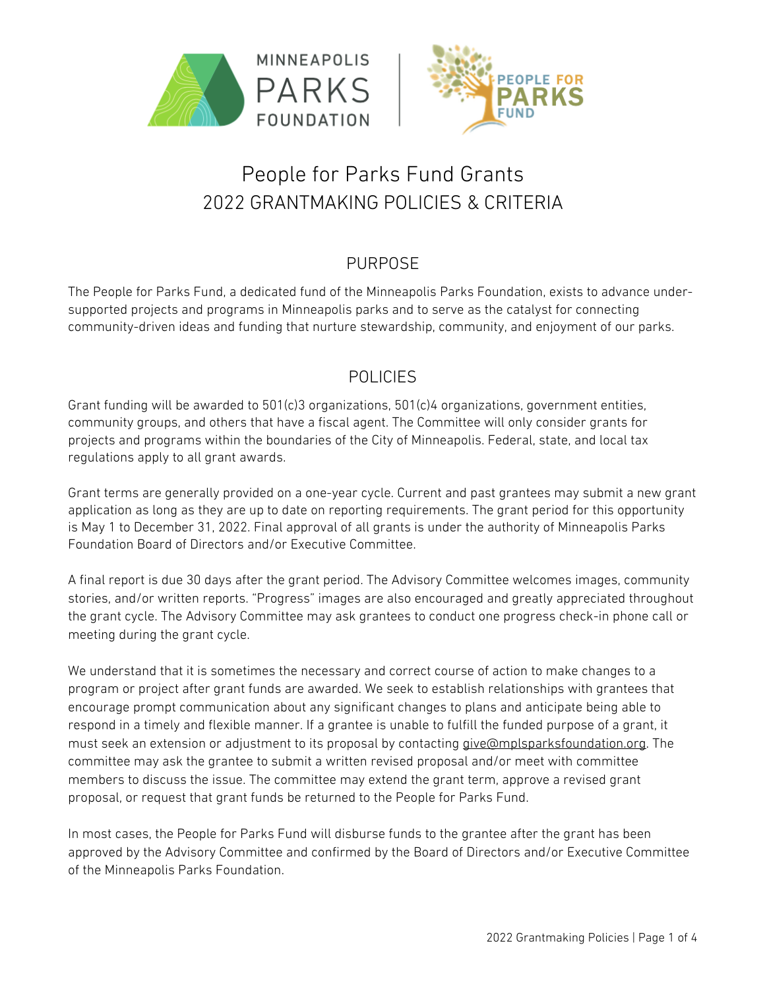



# People for Parks Fund Grants 2022 GRANTMAKING POLICIES & CRITERIA

### PURPOSE

The People for Parks Fund, a dedicated fund of the Minneapolis Parks Foundation, exists to advance undersupported projects and programs in Minneapolis parks and to serve as the catalyst for connecting community-driven ideas and funding that nurture stewardship, community, and enjoyment of our parks.

### POLICIES

Grant funding will be awarded to 501(c)3 organizations, 501(c)4 organizations, government entities, community groups, and others that have a fiscal agent. The Committee will only consider grants for projects and programs within the boundaries of the City of Minneapolis. Federal, state, and local tax regulations apply to all grant awards.

Grant terms are generally provided on a one-year cycle. Current and past grantees may submit a new grant application as long as they are up to date on reporting requirements. The grant period for this opportunity is May 1 to December 31, 2022. Final approval of all grants is under the authority of Minneapolis Parks Foundation Board of Directors and/or Executive Committee.

A final report is due 30 days after the grant period. The Advisory Committee welcomes images, community stories, and/or written reports. "Progress" images are also encouraged and greatly appreciated throughout the grant cycle. The Advisory Committee may ask grantees to conduct one progress check-in phone call or meeting during the grant cycle.

We understand that it is sometimes the necessary and correct course of action to make changes to a program or project after grant funds are awarded. We seek to establish relationships with grantees that encourage prompt communication about any significant changes to plans and anticipate being able to respond in a timely and flexible manner. If a grantee is unable to fulfill the funded purpose of a grant, it must seek an extension or adjustment to its proposal by contacting give@mplsparksfoundation.org. The committee may ask the grantee to submit a written revised proposal and/or meet with committee members to discuss the issue. The committee may extend the grant term, approve a revised grant proposal, or request that grant funds be returned to the People for Parks Fund.

In most cases, the People for Parks Fund will disburse funds to the grantee after the grant has been approved by the Advisory Committee and confirmed by the Board of Directors and/or Executive Committee of the Minneapolis Parks Foundation.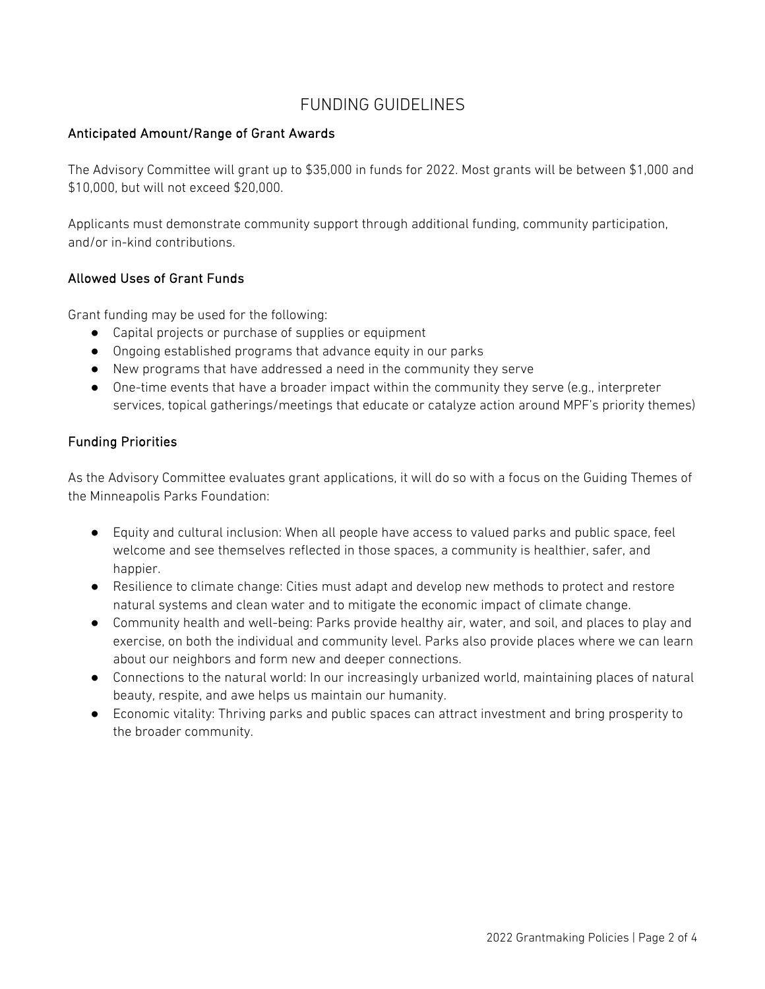### FUNDING GUIDELINES

### Anticipated Amount/Range of Grant Awards

The Advisory Committee will grant up to \$35,000 in funds for 2022. Most grants will be between \$1,000 and \$10,000, but will not exceed \$20,000.

Applicants must demonstrate community support through additional funding, community participation, and/or in-kind contributions.

### Allowed Uses of Grant Funds

Grant funding may be used for the following:

- Capital projects or purchase of supplies or equipment
- Ongoing established programs that advance equity in our parks
- New programs that have addressed a need in the community they serve
- One-time events that have a broader impact within the community they serve (e.g., interpreter services, topical gatherings/meetings that educate or catalyze action around MPF's priority themes)

### Funding Priorities

As the Advisory Committee evaluates grant applications, it will do so with a focus on the Guiding Themes of the Minneapolis Parks Foundation:

- Equity and cultural inclusion: When all people have access to valued parks and public space, feel welcome and see themselves reflected in those spaces, a community is healthier, safer, and happier.
- Resilience to climate change: Cities must adapt and develop new methods to protect and restore natural systems and clean water and to mitigate the economic impact of climate change.
- Community health and well-being: Parks provide healthy air, water, and soil, and places to play and exercise, on both the individual and community level. Parks also provide places where we can learn about our neighbors and form new and deeper connections.
- Connections to the natural world: In our increasingly urbanized world, maintaining places of natural beauty, respite, and awe helps us maintain our humanity.
- Economic vitality: Thriving parks and public spaces can attract investment and bring prosperity to the broader community.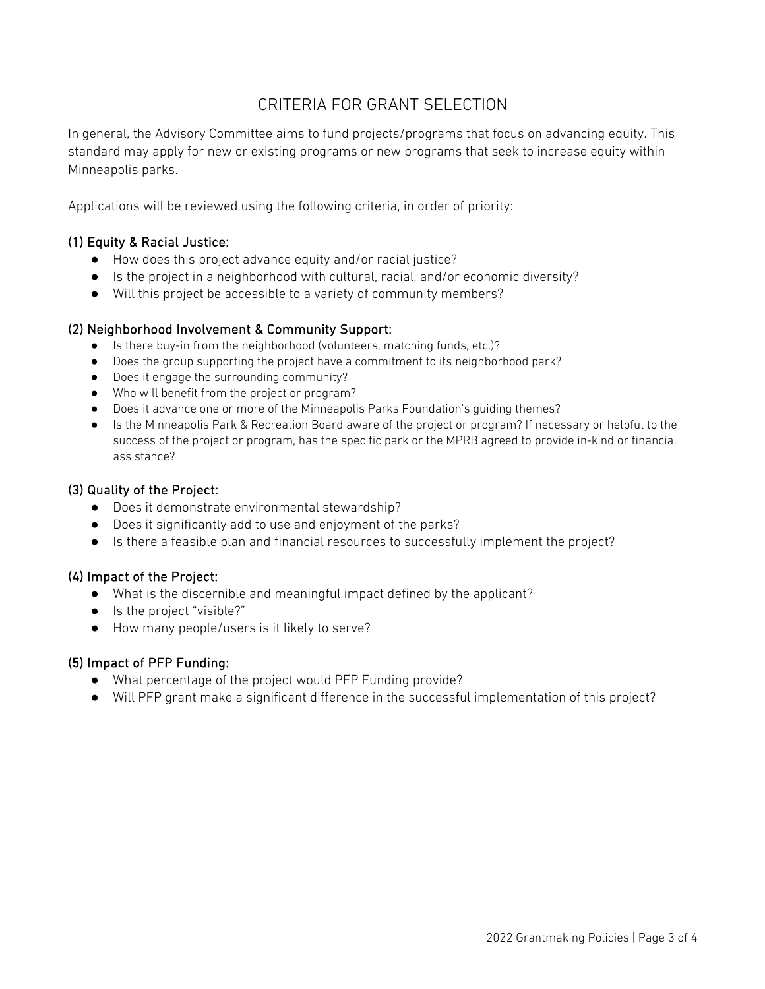### CRITERIA FOR GRANT SELECTION

In general, the Advisory Committee aims to fund projects/programs that focus on advancing equity. This standard may apply for new or existing programs or new programs that seek to increase equity within Minneapolis parks.

Applications will be reviewed using the following criteria, in order of priority:

### (1) Equity & Racial Justice:

- How does this project advance equity and/or racial justice?
- Is the project in a neighborhood with cultural, racial, and/or economic diversity?
- Will this project be accessible to a variety of community members?

#### (2) Neighborhood Involvement & Community Support:

- Is there buy-in from the neighborhood (volunteers, matching funds, etc.)?
- Does the group supporting the project have a commitment to its neighborhood park?
- Does it engage the surrounding community?
- Who will benefit from the project or program?
- Does it advance one or more of the Minneapolis Parks Foundation's guiding themes?
- Is the Minneapolis Park & Recreation Board aware of the project or program? If necessary or helpful to the success of the project or program, has the specific park or the MPRB agreed to provide in-kind or financial assistance?

#### (3) Quality of the Project:

- Does it demonstrate environmental stewardship?
- Does it significantly add to use and enjoyment of the parks?
- Is there a feasible plan and financial resources to successfully implement the project?

### (4) Impact of the Project:

- What is the discernible and meaningful impact defined by the applicant?
- Is the project "visible?"
- How many people/users is it likely to serve?

### (5) Impact of PFP Funding:

- What percentage of the project would PFP Funding provide?
- Will PFP grant make a significant difference in the successful implementation of this project?